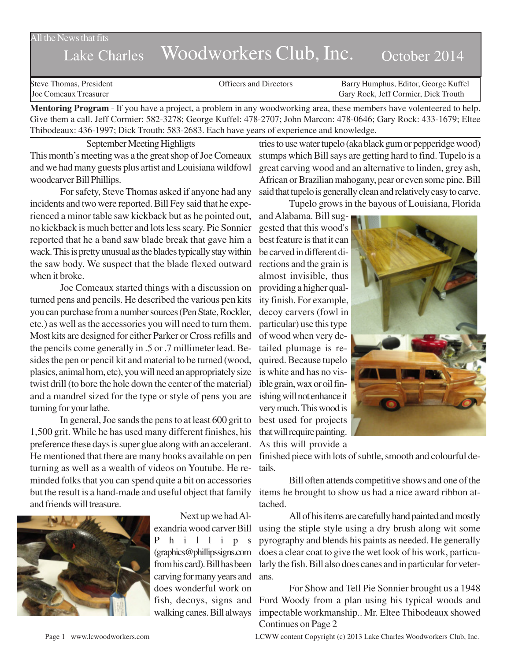## All the News that fits

## Lake Charles Woodworkers Club, Inc. October 2014

Steve Thomas, President **State Concrete Concrete Concrete Concrete Concrete Concrete Concrete Concrete Concrete Concrete Concrete Concrete Concrete Concrete Concrete Concrete Concrete Concrete Concrete Concrete Concrete Co** Joe Comeaux Treasurer Gary Rock, Jeff Cormier, Dick Trouth

**Mentoring Program** - If you have a project, a problem in any woodworking area, these members have volenteered to help. Give them a call. Jeff Cormier: 582-3278; George Kuffel: 478-2707; John Marcon: 478-0646; Gary Rock: 433-1679; Eltee Thibodeaux: 436-1997; Dick Trouth: 583-2683. Each have years of experience and knowledge.

September Meeting Highligts This month's meeting was a the great shop of Joe Comeaux and we had many guests plus artist and Louisiana wildfowl woodcarver Bill Phillips.

For safety, Steve Thomas asked if anyone had any incidents and two were reported. Bill Fey said that he experienced a minor table saw kickback but as he pointed out, no kickback is much better and lots less scary. Pie Sonnier reported that he a band saw blade break that gave him a wack. This is pretty unusual as the blades typically stay within the saw body. We suspect that the blade flexed outward when it broke.

Joe Comeaux started things with a discussion on turned pens and pencils. He described the various pen kits you can purchase from a number sources (Pen State, Rockler, etc.) as well as the accessories you will need to turn them. Most kits are designed for either Parker or Cross refills and the pencils come generally in .5 or .7 millimeter lead. Besides the pen or pencil kit and material to be turned (wood, plasics, animal horn, etc), you will need an appropriately size twist drill (to bore the hole down the center of the material) and a mandrel sized for the type or style of pens you are turning for your lathe.

In general, Joe sands the pens to at least 600 grit to 1,500 grit. While he has used many different finishes, his preference these days is super glue along with an accelerant. He mentioned that there are many books available on pen turning as well as a wealth of videos on Youtube. He reminded folks that you can spend quite a bit on accessories but the result is a hand-made and useful object that family and friends will treasure.



Next up we had Alexandria wood carver Bill Phillips (graphics@phillipssigns.com from his card). Bill has been carving for many years and does wonderful work on fish, decoys, signs and walking canes. Bill always

tries to use water tupelo (aka black gum or pepperidge wood) stumps which Bill says are getting hard to find. Tupelo is a great carving wood and an alternative to linden, grey ash, African or Brazilian mahogany, pear or even some pine. Bill said that tupelo is generally clean and relatively easy to carve.

Tupelo grows in the bayous of Louisiana, Florida

and Alabama. Bill suggested that this wood's best feature is that it can be carved in different directions and the grain is almost invisible, thus providing a higher quality finish. For example, decoy carvers (fowl in particular) use this type of wood when very detailed plumage is required. Because tupelo is white and has no visible grain, wax or oil finishing will not enhance it very much. This wood is best used for projects that will require painting. As this will provide a



finished piece with lots of subtle, smooth and colourful details.

Bill often attends competitive shows and one of the items he brought to show us had a nice award ribbon attached.

All of his items are carefully hand painted and mostly using the stiple style using a dry brush along wit some pyrography and blends his paints as needed. He generally does a clear coat to give the wet look of his work, particularly the fish. Bill also does canes and in particular for veterans.

For Show and Tell Pie Sonnier brought us a 1948 Ford Woody from a plan using his typical woods and impectable workmanship.. Mr. Eltee Thibodeaux showed Continues on Page 2

Page 1 www.lcwoodworkers.com LCWW content Copyright (c) 2013 Lake Charles Woodworkers Club, Inc.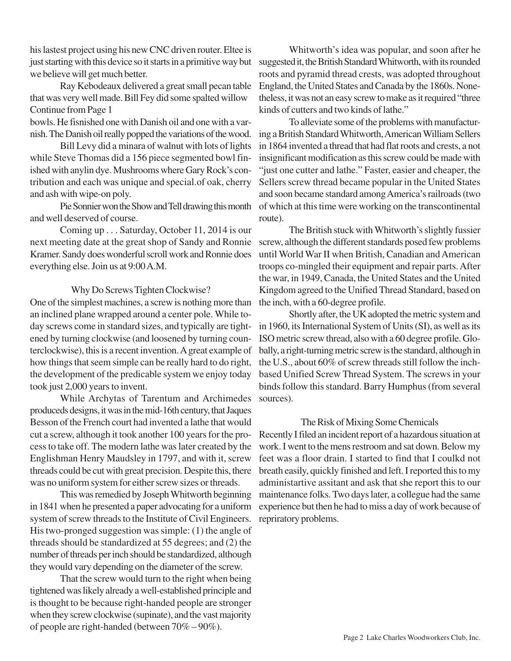his lastest project using his new CNC driven router. Eltee is just starting with this device so it starts in a primitive way but we believe will get much better.

Ray Kebodeaux delivered a great small pecan table that was very well made. Bill Fey did some spalted willow Continue from Page 1

bowls. He fisnished one with Danish oil and one with a varnish. The Danish oil really popped the variations of the wood.

Bill Levy did a minara of walnut with lots of lights while Steve Thomas did a 156 piece segmented bowl finished with anylin dye. Mushrooms where Gary Rock's contribution and each was unique and special.of oak, cherry and ash with wipe-on poly.

Pie Sonnier won the Show and Tell drawing this month and well deserved of course.

Coming up . . . Saturday, October 11, 2014 is our next meeting date at the great shop of Sandy and Ronnie Kramer. Sandy does wonderful scroll work and Ronnie does everything else. Join us at 9:00 A.M.

## Why Do Screws Tighten Clockwise?

One of the simplest machines, a screw is nothing more than an inclined plane wrapped around a center pole. While today screws come in standard sizes, and typically are tightened by turning clockwise (and loosened by turning counterclockwise), this is a recent invention. A great example of how things that seem simple can be really hard to do right, the development of the predicable system we enjoy today took just 2,000 years to invent.

While Archytas of Tarentum and Archimedes produceds designs, it was in the mid-16th century, that Jaques Besson of the French court had invented a lathe that would cut a screw, although it took another 100 years for the process to take off. The modern lathe was later created by the Englishman Henry Maudsley in 1797, and with it, screw threads could be cut with great precision. Despite this, there was no uniform system for either screw sizes or threads.

This was remedied by Joseph Whitworth beginning in 1841 when he presented a paper advocating for a uniform system of screw threads to the Institute of Civil Engineers. His two-pronged suggestion was simple: (1) the angle of threads should be standardized at 55 degrees; and (2) the number of threads per inch should be standardized, although they would vary depending on the diameter of the screw.

That the screw would turn to the right when being tightened was likely already a well-established principle and is thought to be because right-handed people are stronger when they screw clockwise (supinate), and the vast majority of people are right-handed (between 70% – 90%).

Whitworth's idea was popular, and soon after he suggested it, the British Standard Whitworth, with its rounded roots and pyramid thread crests, was adopted throughout England, the United States and Canada by the 1860s. Nonetheless, it was not an easy screw to make as it required "three kinds of cutters and two kinds of lathe."

To alleviate some of the problems with manufacturing a British Standard Whitworth, American William Sellers in 1864 invented a thread that had flat roots and crests, a not insignificant modification as this screw could be made with "just one cutter and lathe." Faster, easier and cheaper, the Sellers screw thread became popular in the United States and soon became standard among America's railroads (two of which at this time were working on the transcontinental route).

The British stuck with Whitworth's slightly fussier screw, although the different standards posed few problems until World War II when British, Canadian and American troops co-mingled their equipment and repair parts. After the war, in 1949, Canada, the United States and the United Kingdom agreed to the Unified Thread Standard, based on the inch, with a 60-degree profile.

Shortly after, the UK adopted the metric system and in 1960, its International System of Units (SI), as well as its ISO metric screw thread, also with a 60 degree profile. Globally, a right-turning metric screw is the standard, although in the U.S., about 60% of screw threads still follow the inchbased Unified Screw Thread System. The screws in your binds follow this standard. Barry Humphus (from several sources).

## The Risk of Mixing Some Chemicals

Recently I filed an incident report of a hazardous situation at work. I went to the mens restroom and sat down. Below my feet was a floor drain. I started to find that I coulkd not breath easily, quickly finished and left. I reported this to my administartive assitant and ask that she report this to our maintenance folks. Two days later, a collegue had the same experience but then he had to miss a day of work because of repriratory problems.